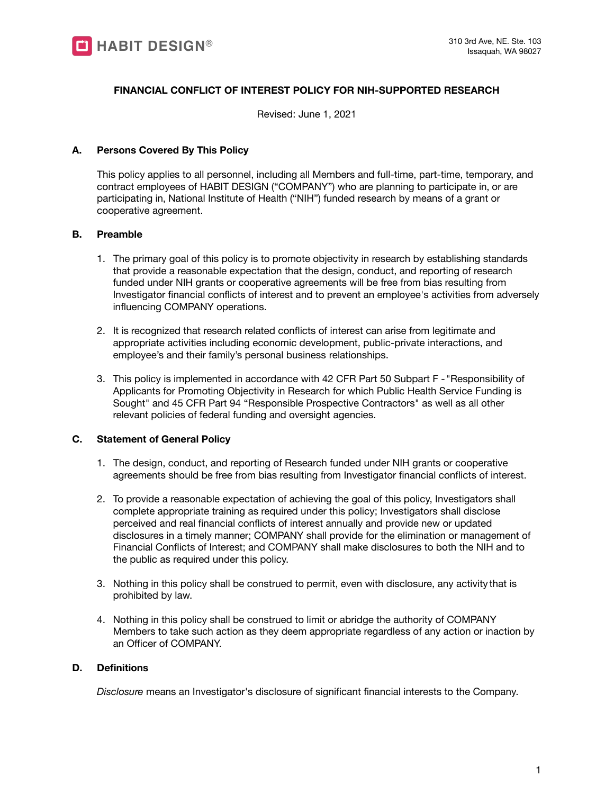

## **FINANCIAL CONFLICT OF INTEREST POLICY FOR NIH-SUPPORTED RESEARCH**

Revised: June 1, 2021

### **A. Persons Covered By This Policy**

This policy applies to all personnel, including all Members and full-time, part-time, temporary, and contract employees of HABIT DESIGN ("COMPANY") who are planning to participate in, or are participating in, National Institute of Health ("NIH") funded research by means of a grant or cooperative agreement.

### **B. Preamble**

- 1. The primary goal of this policy is to promote objectivity in research by establishing standards that provide a reasonable expectation that the design, conduct, and reporting of research funded under NIH grants or cooperative agreements will be free from bias resulting from Investigator financial conflicts of interest and to prevent an employee's activities from adversely influencing COMPANY operations.
- 2. It is recognized that research related conflicts of interest can arise from legitimate and appropriate activities including economic development, public-private interactions, and employee's and their family's personal business relationships.
- 3. This policy is implemented in accordance with 42 CFR Part 50 Subpart F "Responsibility of Applicants for Promoting Objectivity in Research for which Public Health Service Funding is Sought" and 45 CFR Part 94 "Responsible Prospective Contractors" as well as all other relevant policies of federal funding and oversight agencies.

### **C. Statement of General Policy**

- 1. The design, conduct, and reporting of Research funded under NIH grants or cooperative agreements should be free from bias resulting from Investigator financial conflicts of interest.
- 2. To provide a reasonable expectation of achieving the goal of this policy, Investigators shall complete appropriate training as required under this policy; Investigators shall disclose perceived and real financial conflicts of interest annually and provide new or updated disclosures in a timely manner; COMPANY shall provide for the elimination or management of Financial Conflicts of Interest; and COMPANY shall make disclosures to both the NIH and to the public as required under this policy.
- 3. Nothing in this policy shall be construed to permit, even with disclosure, any activity that is prohibited by law.
- 4. Nothing in this policy shall be construed to limit or abridge the authority of COMPANY Members to take such action as they deem appropriate regardless of any action or inaction by an Officer of COMPANY.

## **D. Definitions**

*Disclosure* means an Investigator's disclosure of significant financial interests to the Company.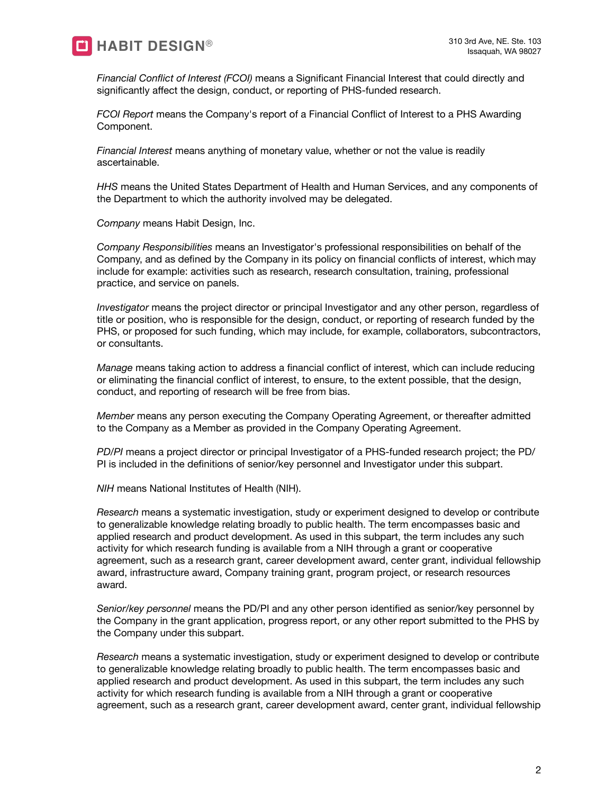

*Financial Conflict of Interest (FCOI)* means a Significant Financial Interest that could directly and significantly affect the design, conduct, or reporting of PHS-funded research.

*FCOI Report* means the Company's report of a Financial Conflict of Interest to a PHS Awarding Component.

*Financial Interest* means anything of monetary value, whether or not the value is readily ascertainable.

*HHS* means the United States Department of Health and Human Services, and any components of the Department to which the authority involved may be delegated.

*Company* means Habit Design, Inc.

*Company Responsibilities* means an Investigator's professional responsibilities on behalf of the Company, and as defined by the Company in its policy on financial conflicts of interest, which may include for example: activities such as research, research consultation, training, professional practice, and service on panels.

*Investigator* means the project director or principal Investigator and any other person, regardless of title or position, who is responsible for the design, conduct, or reporting of research funded by the PHS, or proposed for such funding, which may include, for example, collaborators, subcontractors, or consultants.

*Manage* means taking action to address a financial conflict of interest, which can include reducing or eliminating the financial conflict of interest, to ensure, to the extent possible, that the design, conduct, and reporting of research will be free from bias.

*Member* means any person executing the Company Operating Agreement, or thereafter admitted to the Company as a Member as provided in the Company Operating Agreement.

*PD/PI* means a project director or principal Investigator of a PHS-funded research project; the PD/ PI is included in the definitions of senior/key personnel and Investigator under this subpart.

*NIH* means National Institutes of Health (NIH).

*Research* means a systematic investigation, study or experiment designed to develop or contribute to generalizable knowledge relating broadly to public health. The term encompasses basic and applied research and product development. As used in this subpart, the term includes any such activity for which research funding is available from a NIH through a grant or cooperative agreement, such as a research grant, career development award, center grant, individual fellowship award, infrastructure award, Company training grant, program project, or research resources award.

*Senior/key personnel* means the PD/PI and any other person identified as senior/key personnel by the Company in the grant application, progress report, or any other report submitted to the PHS by the Company under this subpart.

*Research* means a systematic investigation, study or experiment designed to develop or contribute to generalizable knowledge relating broadly to public health. The term encompasses basic and applied research and product development. As used in this subpart, the term includes any such activity for which research funding is available from a NIH through a grant or cooperative agreement, such as a research grant, career development award, center grant, individual fellowship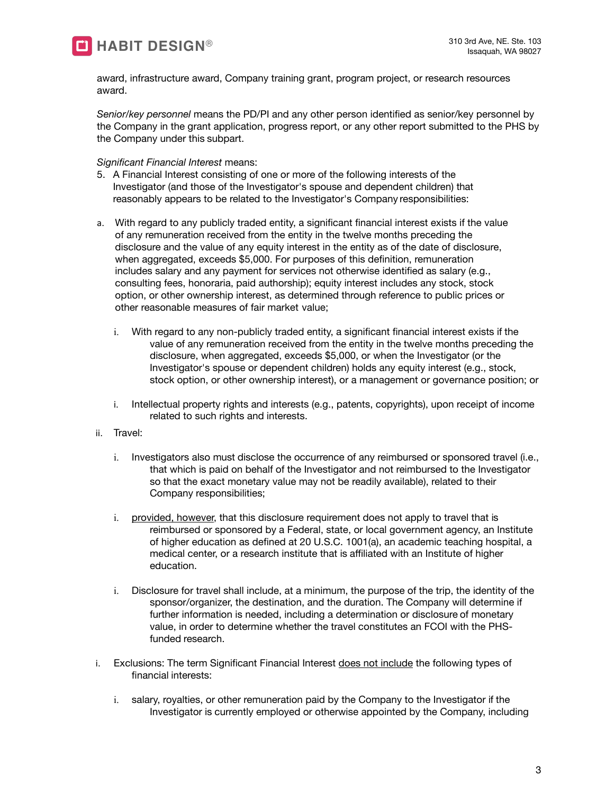

award, infrastructure award, Company training grant, program project, or research resources award.

*Senior/key personnel* means the PD/PI and any other person identified as senior/key personnel by the Company in the grant application, progress report, or any other report submitted to the PHS by the Company under this subpart.

*Significant Financial Interest* means:

- 5. A Financial Interest consisting of one or more of the following interests of the Investigator (and those of the Investigator's spouse and dependent children) that reasonably appears to be related to the Investigator's Company responsibilities:
- a. With regard to any publicly traded entity, a significant financial interest exists if the value of any remuneration received from the entity in the twelve months preceding the disclosure and the value of any equity interest in the entity as of the date of disclosure, when aggregated, exceeds \$5,000. For purposes of this definition, remuneration includes salary and any payment for services not otherwise identified as salary (e.g., consulting fees, honoraria, paid authorship); equity interest includes any stock, stock option, or other ownership interest, as determined through reference to public prices or other reasonable measures of fair market value;
	- i. With regard to any non-publicly traded entity, a significant financial interest exists if the value of any remuneration received from the entity in the twelve months preceding the disclosure, when aggregated, exceeds \$5,000, or when the Investigator (or the Investigator's spouse or dependent children) holds any equity interest (e.g., stock, stock option, or other ownership interest), or a management or governance position; or
	- i. Intellectual property rights and interests (e.g., patents, copyrights), upon receipt of income related to such rights and interests.
- ii. Travel:
	- i. Investigators also must disclose the occurrence of any reimbursed or sponsored travel (i.e., that which is paid on behalf of the Investigator and not reimbursed to the Investigator so that the exact monetary value may not be readily available), related to their Company responsibilities;
	- i. provided, however, that this disclosure requirement does not apply to travel that is reimbursed or sponsored by a Federal, state, or local government agency, an Institute of higher education as defined at 20 U.S.C. 1001(a), an academic teaching hospital, a medical center, or a research institute that is affiliated with an Institute of higher education.
	- i. Disclosure for travel shall include, at a minimum, the purpose of the trip, the identity of the sponsor/organizer, the destination, and the duration. The Company will determine if further information is needed, including a determination or disclosure of monetary value, in order to determine whether the travel constitutes an FCOI with the PHSfunded research.
- i. Exclusions: The term Significant Financial Interest does not include the following types of financial interests:
	- i. salary, royalties, or other remuneration paid by the Company to the Investigator if the Investigator is currently employed or otherwise appointed by the Company, including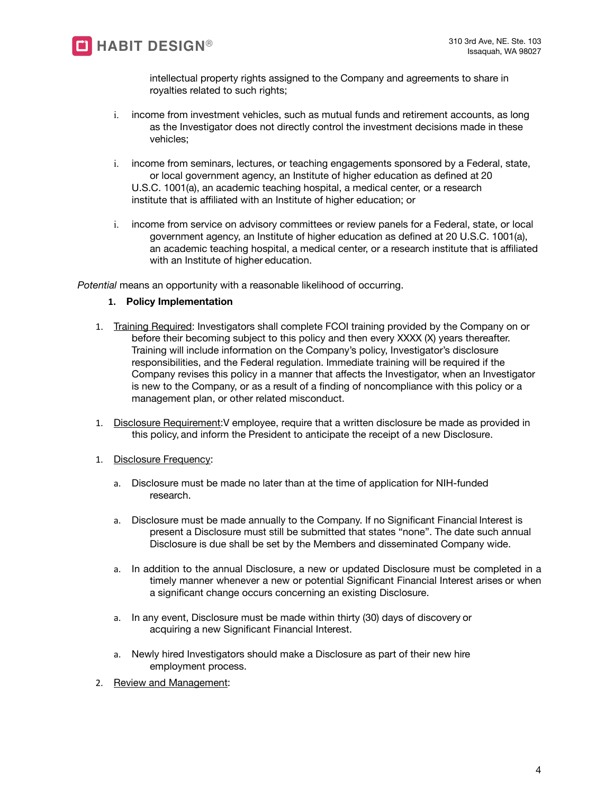

intellectual property rights assigned to the Company and agreements to share in royalties related to such rights;

- i. income from investment vehicles, such as mutual funds and retirement accounts, as long as the Investigator does not directly control the investment decisions made in these vehicles;
- i. income from seminars, lectures, or teaching engagements sponsored by a Federal, state, or local government agency, an Institute of higher education as defined at 20 U.S.C. 1001(a), an academic teaching hospital, a medical center, or a research institute that is affiliated with an Institute of higher education; or
- i. income from service on advisory committees or review panels for a Federal, state, or local government agency, an Institute of higher education as defined at 20 U.S.C. 1001(a), an academic teaching hospital, a medical center, or a research institute that is affiliated with an Institute of higher education.

*Potential* means an opportunity with a reasonable likelihood of occurring.

# **1. Policy Implementation**

- 1. Training Required: Investigators shall complete FCOI training provided by the Company on or before their becoming subject to this policy and then every XXXX (X) years thereafter. Training will include information on the Company's policy, Investigator's disclosure responsibilities, and the Federal regulation. Immediate training will be required if the Company revises this policy in a manner that affects the Investigator, when an Investigator is new to the Company, or as a result of a finding of noncompliance with this policy or a management plan, or other related misconduct.
- 1. Disclosure Requirement:V employee, require that a written disclosure be made as provided in this policy, and inform the President to anticipate the receipt of a new Disclosure.
- 1. Disclosure Frequency:
	- a. Disclosure must be made no later than at the time of application for NIH-funded research.
	- a. Disclosure must be made annually to the Company. If no Significant Financial Interest is present a Disclosure must still be submitted that states "none". The date such annual Disclosure is due shall be set by the Members and disseminated Company wide.
	- a. In addition to the annual Disclosure, a new or updated Disclosure must be completed in a timely manner whenever a new or potential Significant Financial Interest arises or when a significant change occurs concerning an existing Disclosure.
	- a. In any event, Disclosure must be made within thirty (30) days of discovery or acquiring a new Significant Financial Interest.
	- a. Newly hired Investigators should make a Disclosure as part of their new hire employment process.
- 2. Review and Management: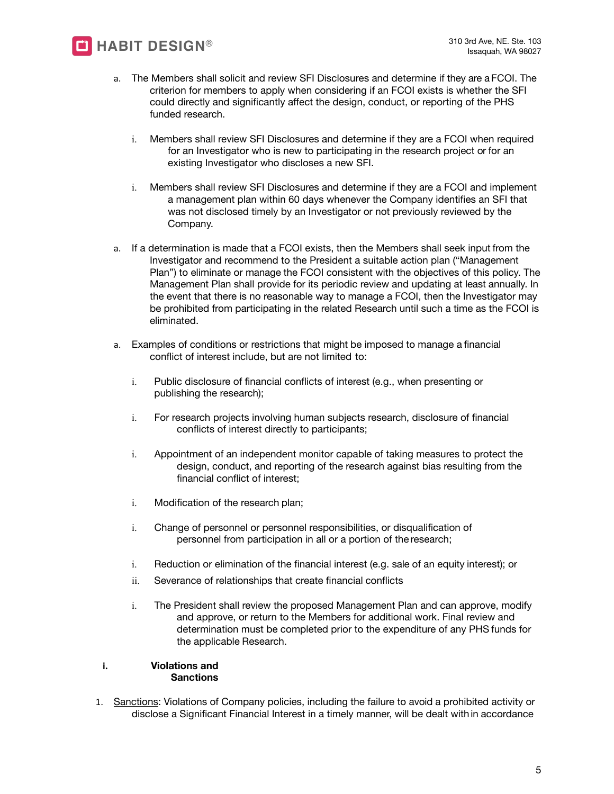

- a. The Members shall solicit and review SFI Disclosures and determine if they are a FCOI. The criterion for members to apply when considering if an FCOI exists is whether the SFI could directly and significantly affect the design, conduct, or reporting of the PHS funded research.
	- i. Members shall review SFI Disclosures and determine if they are a FCOI when required for an Investigator who is new to participating in the research project or for an existing Investigator who discloses a new SFI.
	- i. Members shall review SFI Disclosures and determine if they are a FCOI and implement a management plan within 60 days whenever the Company identifies an SFI that was not disclosed timely by an Investigator or not previously reviewed by the Company.
- a. If a determination is made that a FCOI exists, then the Members shall seek input from the Investigator and recommend to the President a suitable action plan ("Management Plan") to eliminate or manage the FCOI consistent with the objectives of this policy. The Management Plan shall provide for its periodic review and updating at least annually. In the event that there is no reasonable way to manage a FCOI, then the Investigator may be prohibited from participating in the related Research until such a time as the FCOI is eliminated.
- a. Examples of conditions or restrictions that might be imposed to manage a financial conflict of interest include, but are not limited to:
	- i. Public disclosure of financial conflicts of interest (e.g., when presenting or publishing the research);
	- i. For research projects involving human subjects research, disclosure of financial conflicts of interest directly to participants;
	- i. Appointment of an independent monitor capable of taking measures to protect the design, conduct, and reporting of the research against bias resulting from the financial conflict of interest;
	- i. Modification of the research plan;
	- i. Change of personnel or personnel responsibilities, or disqualification of personnel from participation in all or a portion of the research;
	- i. Reduction or elimination of the financial interest (e.g. sale of an equity interest); or
	- ii. Severance of relationships that create financial conflicts
	- i. The President shall review the proposed Management Plan and can approve, modify and approve, or return to the Members for additional work. Final review and determination must be completed prior to the expenditure of any PHS funds for the applicable Research.

### **i. Violations and Sanctions**

1. Sanctions: Violations of Company policies, including the failure to avoid a prohibited activity or disclose a Significant Financial Interest in a timely manner, will be dealt with in accordance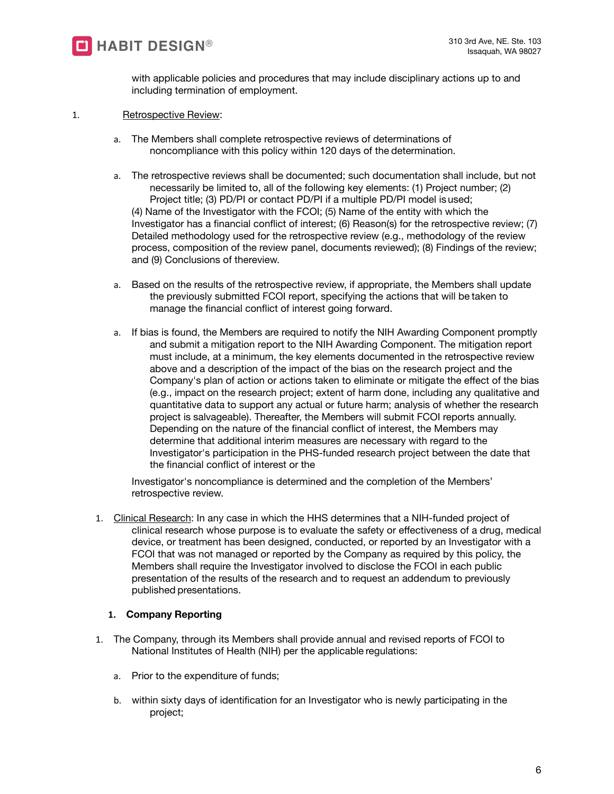

with applicable policies and procedures that may include disciplinary actions up to and including termination of employment.

- 1. Retrospective Review:
	- a. The Members shall complete retrospective reviews of determinations of noncompliance with this policy within 120 days of the determination.
	- a. The retrospective reviews shall be documented; such documentation shall include, but not necessarily be limited to, all of the following key elements: (1) Project number; (2) Project title; (3) PD/PI or contact PD/PI if a multiple PD/PI model is used; (4) Name of the Investigator with the FCOI; (5) Name of the entity with which the Investigator has a financial conflict of interest; (6) Reason(s) for the retrospective review; (7) Detailed methodology used for the retrospective review (e.g., methodology of the review process, composition of the review panel, documents reviewed); (8) Findings of the review; and (9) Conclusions of thereview.
	- a. Based on the results of the retrospective review, if appropriate, the Members shall update the previously submitted FCOI report, specifying the actions that will be taken to manage the financial conflict of interest going forward.
	- a. If bias is found, the Members are required to notify the NIH Awarding Component promptly and submit a mitigation report to the NIH Awarding Component. The mitigation report must include, at a minimum, the key elements documented in the retrospective review above and a description of the impact of the bias on the research project and the Company's plan of action or actions taken to eliminate or mitigate the effect of the bias (e.g., impact on the research project; extent of harm done, including any qualitative and quantitative data to support any actual or future harm; analysis of whether the research project is salvageable). Thereafter, the Members will submit FCOI reports annually. Depending on the nature of the financial conflict of interest, the Members may determine that additional interim measures are necessary with regard to the Investigator's participation in the PHS-funded research project between the date that the financial conflict of interest or the

Investigator's noncompliance is determined and the completion of the Members' retrospective review.

1. Clinical Research: In any case in which the HHS determines that a NIH-funded project of clinical research whose purpose is to evaluate the safety or effectiveness of a drug, medical device, or treatment has been designed, conducted, or reported by an Investigator with a FCOI that was not managed or reported by the Company as required by this policy, the Members shall require the Investigator involved to disclose the FCOI in each public presentation of the results of the research and to request an addendum to previously published presentations.

# **1. Company Reporting**

- 1. The Company, through its Members shall provide annual and revised reports of FCOI to National Institutes of Health (NIH) per the applicable regulations:
	- a. Prior to the expenditure of funds;
	- b. within sixty days of identification for an Investigator who is newly participating in the project;